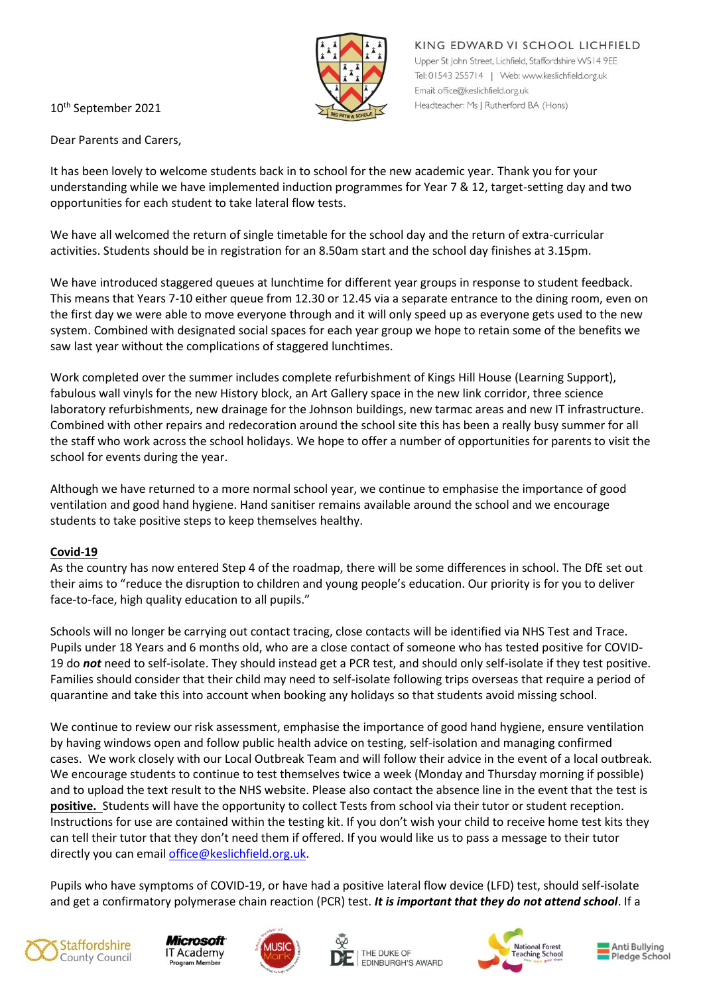

KING EDWARD VI SCHOOL LICHFIELD Upper St John Street, Lichfield, Staffordshire WS14 9EE Tel: 01543 255714 | Web: www.keslichfield.org.uk Email: office@keslichfield.org.uk Headteacher: Ms J Rutherford BA (Hons)

10th September 2021

Dear Parents and Carers,

It has been lovely to welcome students back in to school for the new academic year. Thank you for your understanding while we have implemented induction programmes for Year 7 & 12, target-setting day and two opportunities for each student to take lateral flow tests.

We have all welcomed the return of single timetable for the school day and the return of extra-curricular activities. Students should be in registration for an 8.50am start and the school day finishes at 3.15pm.

We have introduced staggered queues at lunchtime for different year groups in response to student feedback. This means that Years 7-10 either queue from 12.30 or 12.45 via a separate entrance to the dining room, even on the first day we were able to move everyone through and it will only speed up as everyone gets used to the new system. Combined with designated social spaces for each year group we hope to retain some of the benefits we saw last year without the complications of staggered lunchtimes.

Work completed over the summer includes complete refurbishment of Kings Hill House (Learning Support), fabulous wall vinyls for the new History block, an Art Gallery space in the new link corridor, three science laboratory refurbishments, new drainage for the Johnson buildings, new tarmac areas and new IT infrastructure. Combined with other repairs and redecoration around the school site this has been a really busy summer for all the staff who work across the school holidays. We hope to offer a number of opportunities for parents to visit the school for events during the year.

Although we have returned to a more normal school year, we continue to emphasise the importance of good ventilation and good hand hygiene. Hand sanitiser remains available around the school and we encourage students to take positive steps to keep themselves healthy.

## **Covid-19**

As the country has now entered Step 4 of the roadmap, there will be some differences in school. The DfE set out their aims to "reduce the disruption to children and young people's education. Our priority is for you to deliver face-to-face, high quality education to all pupils."

Schools will no longer be carrying out contact tracing, close contacts will be identified via NHS Test and Trace. Pupils under 18 Years and 6 months old, who are a close contact of someone who has tested positive for COVID-19 do *not* need to self-isolate. They should instead get a PCR test, and should only self-isolate if they test positive. Families should consider that their child may need to self-isolate following trips overseas that require a period of quarantine and take this into account when booking any holidays so that students avoid missing school.

We continue to review our risk assessment, emphasise the importance of good hand hygiene, ensure ventilation by having windows open and follow public health advice on testing, self-isolation and managing confirmed cases. We work closely with our Local Outbreak Team and will follow their advice in the event of a local outbreak. We encourage students to continue to test themselves twice a week (Monday and Thursday morning if possible) and to upload the text result to the NHS website. Please also contact the absence line in the event that the test is **positive.** Students will have the opportunity to collect Tests from school via their tutor or student reception. Instructions for use are contained within the testing kit. If you don't wish your child to receive home test kits they can tell their tutor that they don't need them if offered. If you would like us to pass a message to their tutor directly you can email [office@keslichfield.org.uk.](mailto:office@keslichfield.org.uk)

Pupils who have symptoms of COVID-19, or have had a positive lateral flow device (LFD) test, should self-isolate and get a confirmatory polymerase chain reaction (PCR) test. *It is important that they do not attend school*. If a